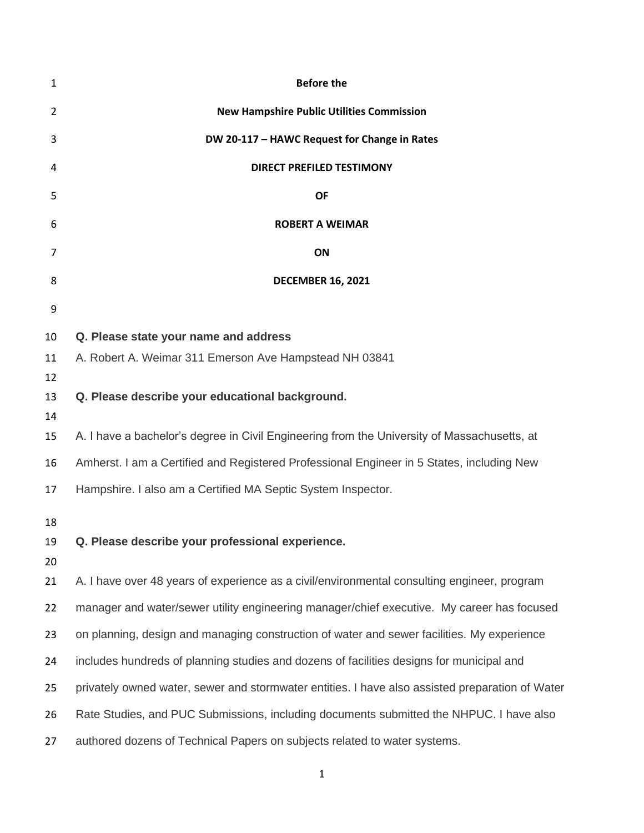| 1        | <b>Before the</b>                                                                               |
|----------|-------------------------------------------------------------------------------------------------|
| 2        | <b>New Hampshire Public Utilities Commission</b>                                                |
| 3        | DW 20-117 - HAWC Request for Change in Rates                                                    |
| 4        | <b>DIRECT PREFILED TESTIMONY</b>                                                                |
| 5        | <b>OF</b>                                                                                       |
| 6        | <b>ROBERT A WEIMAR</b>                                                                          |
| 7        | ON                                                                                              |
| 8        | <b>DECEMBER 16, 2021</b>                                                                        |
| 9        |                                                                                                 |
| 10       | Q. Please state your name and address                                                           |
| 11       | A. Robert A. Weimar 311 Emerson Ave Hampstead NH 03841                                          |
| 12<br>13 | Q. Please describe your educational background.                                                 |
| 14<br>15 | A. I have a bachelor's degree in Civil Engineering from the University of Massachusetts, at     |
| 16       | Amherst. I am a Certified and Registered Professional Engineer in 5 States, including New       |
| 17       | Hampshire. I also am a Certified MA Septic System Inspector.                                    |
| 18       |                                                                                                 |
| 19       | Q. Please describe your professional experience                                                 |
| 20       |                                                                                                 |
| 21       | A. I have over 48 years of experience as a civil/environmental consulting engineer, program     |
| 22       | manager and water/sewer utility engineering manager/chief executive. My career has focused      |
| 23       | on planning, design and managing construction of water and sewer facilities. My experience      |
| 24       | includes hundreds of planning studies and dozens of facilities designs for municipal and        |
| 25       | privately owned water, sewer and stormwater entities. I have also assisted preparation of Water |
| 26       | Rate Studies, and PUC Submissions, including documents submitted the NHPUC. I have also         |
| 27       | authored dozens of Technical Papers on subjects related to water systems.                       |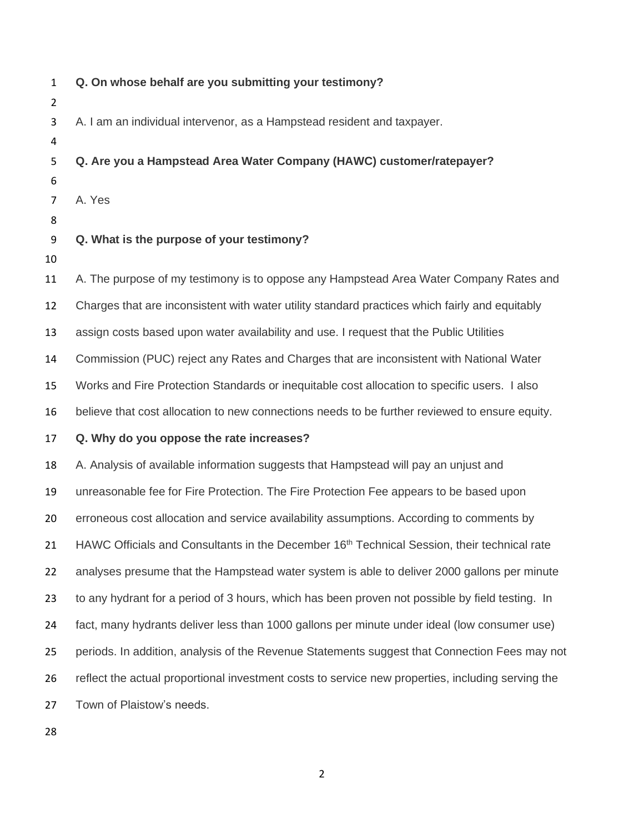| $\mathbf{1}$<br>2 | Q. On whose behalf are you submitting your testimony?                                                   |
|-------------------|---------------------------------------------------------------------------------------------------------|
| 3<br>4            | A. I am an individual intervenor, as a Hampstead resident and taxpayer.                                 |
| 5                 | Q. Are you a Hampstead Area Water Company (HAWC) customer/ratepayer?                                    |
| 6<br>7            | A. Yes                                                                                                  |
| 8<br>9<br>10      | Q. What is the purpose of your testimony?                                                               |
| 11                | A. The purpose of my testimony is to oppose any Hampstead Area Water Company Rates and                  |
| 12                | Charges that are inconsistent with water utility standard practices which fairly and equitably          |
| 13                | assign costs based upon water availability and use. I request that the Public Utilities                 |
| 14                | Commission (PUC) reject any Rates and Charges that are inconsistent with National Water                 |
| 15                | Works and Fire Protection Standards or inequitable cost allocation to specific users. I also            |
| 16                | believe that cost allocation to new connections needs to be further reviewed to ensure equity.          |
| 17                | Q. Why do you oppose the rate increases?                                                                |
| 18                | A. Analysis of available information suggests that Hampstead will pay an unjust and                     |
| 19                | unreasonable fee for Fire Protection. The Fire Protection Fee appears to be based upon                  |
| 20                | erroneous cost allocation and service availability assumptions. According to comments by                |
| 21                | HAWC Officials and Consultants in the December 16 <sup>th</sup> Technical Session, their technical rate |
| 22                | analyses presume that the Hampstead water system is able to deliver 2000 gallons per minute             |
| 23                | to any hydrant for a period of 3 hours, which has been proven not possible by field testing. In         |
| 24                | fact, many hydrants deliver less than 1000 gallons per minute under ideal (low consumer use)            |
| 25                | periods. In addition, analysis of the Revenue Statements suggest that Connection Fees may not           |
| 26                | reflect the actual proportional investment costs to service new properties, including serving the       |
| 27                | Town of Plaistow's needs.                                                                               |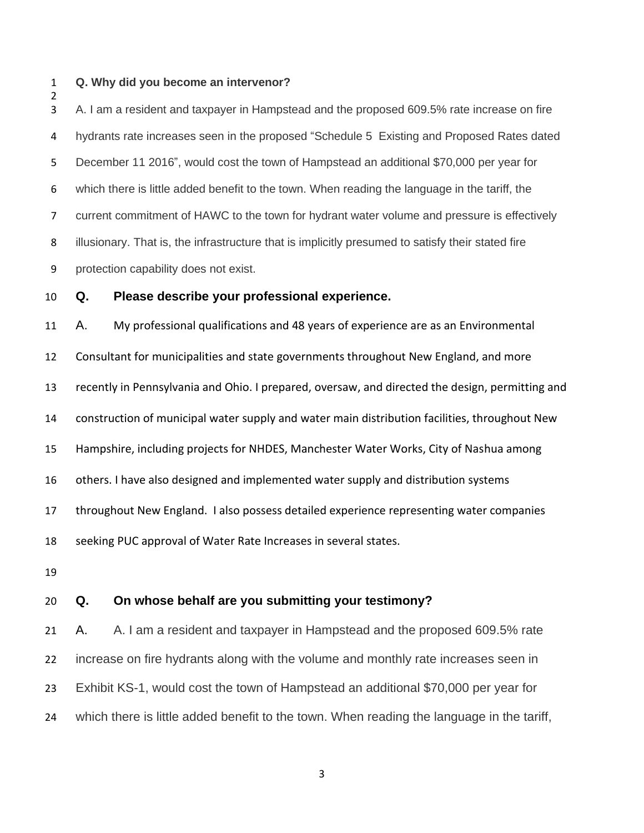### **Q. Why did you become an intervenor?**

 A. I am a resident and taxpayer in Hampstead and the proposed 609.5% rate increase on fire hydrants rate increases seen in the proposed "Schedule 5 Existing and Proposed Rates dated December 11 2016", would cost the town of Hampstead an additional \$70,000 per year for which there is little added benefit to the town. When reading the language in the tariff, the current commitment of HAWC to the town for hydrant water volume and pressure is effectively illusionary. That is, the infrastructure that is implicitly presumed to satisfy their stated fire protection capability does not exist.

**Q. Please describe your professional experience.**

 A. My professional qualifications and 48 years of experience are as an Environmental Consultant for municipalities and state governments throughout New England, and more recently in Pennsylvania and Ohio. I prepared, oversaw, and directed the design, permitting and construction of municipal water supply and water main distribution facilities, throughout New Hampshire, including projects for NHDES, Manchester Water Works, City of Nashua among others. I have also designed and implemented water supply and distribution systems throughout New England. I also possess detailed experience representing water companies seeking PUC approval of Water Rate Increases in several states. 

## **Q. On whose behalf are you submitting your testimony?**

 A. A. I am a resident and taxpayer in Hampstead and the proposed 609.5% rate increase on fire hydrants along with the volume and monthly rate increases seen in Exhibit KS-1, would cost the town of Hampstead an additional \$70,000 per year for which there is little added benefit to the town. When reading the language in the tariff,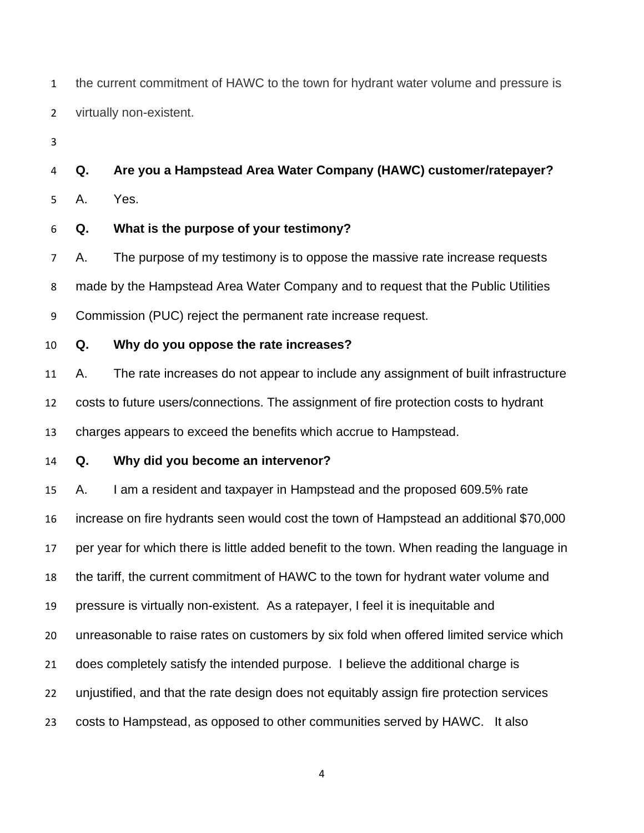the current commitment of HAWC to the town for hydrant water volume and pressure is virtually non-existent.

**Q. Are you a Hampstead Area Water Company (HAWC) customer/ratepayer?**

A. Yes.

**Q. What is the purpose of your testimony?**

 A. The purpose of my testimony is to oppose the massive rate increase requests made by the Hampstead Area Water Company and to request that the Public Utilities Commission (PUC) reject the permanent rate increase request.

**Q. Why do you oppose the rate increases?**

 A. The rate increases do not appear to include any assignment of built infrastructure costs to future users/connections. The assignment of fire protection costs to hydrant charges appears to exceed the benefits which accrue to Hampstead.

**Q. Why did you become an intervenor?**

 A. I am a resident and taxpayer in Hampstead and the proposed 609.5% rate increase on fire hydrants seen would cost the town of Hampstead an additional \$70,000 per year for which there is little added benefit to the town. When reading the language in the tariff, the current commitment of HAWC to the town for hydrant water volume and pressure is virtually non-existent. As a ratepayer, I feel it is inequitable and unreasonable to raise rates on customers by six fold when offered limited service which does completely satisfy the intended purpose. I believe the additional charge is unjustified, and that the rate design does not equitably assign fire protection services costs to Hampstead, as opposed to other communities served by HAWC. It also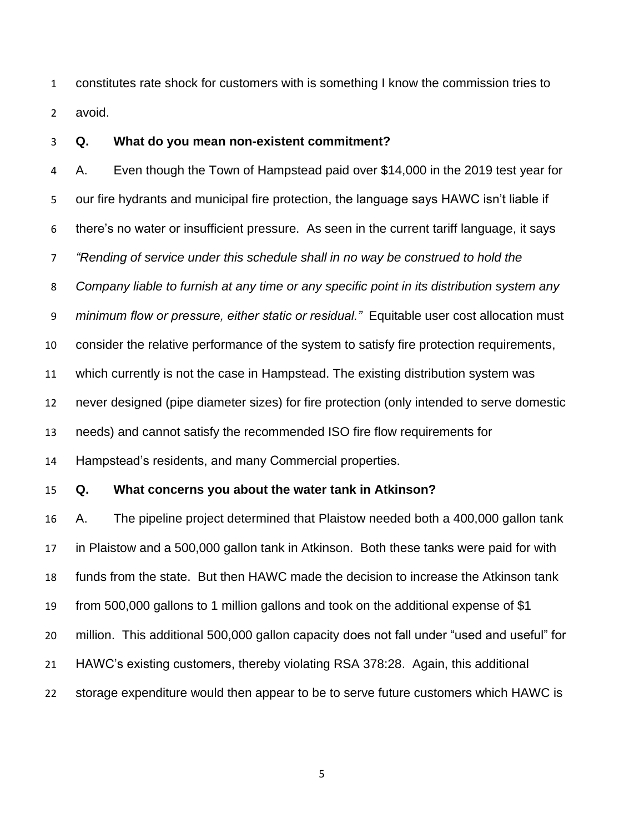constitutes rate shock for customers with is something I know the commission tries to avoid.

### **Q. What do you mean non-existent commitment?**

 A. Even though the Town of Hampstead paid over \$14,000 in the 2019 test year for our fire hydrants and municipal fire protection, the language says HAWC isn't liable if there's no water or insufficient pressure. As seen in the current tariff language, it says *"Rending of service under this schedule shall in no way be construed to hold the Company liable to furnish at any time or any specific point in its distribution system any minimum flow or pressure, either static or residual."* Equitable user cost allocation must consider the relative performance of the system to satisfy fire protection requirements, which currently is not the case in Hampstead. The existing distribution system was never designed (pipe diameter sizes) for fire protection (only intended to serve domestic needs) and cannot satisfy the recommended ISO fire flow requirements for Hampstead's residents, and many Commercial properties. **Q. What concerns you about the water tank in Atkinson?** A. The pipeline project determined that Plaistow needed both a 400,000 gallon tank in Plaistow and a 500,000 gallon tank in Atkinson. Both these tanks were paid for with funds from the state. But then HAWC made the decision to increase the Atkinson tank from 500,000 gallons to 1 million gallons and took on the additional expense of \$1

million. This additional 500,000 gallon capacity does not fall under "used and useful" for

- HAWC's existing customers, thereby violating RSA 378:28. Again, this additional
- storage expenditure would then appear to be to serve future customers which HAWC is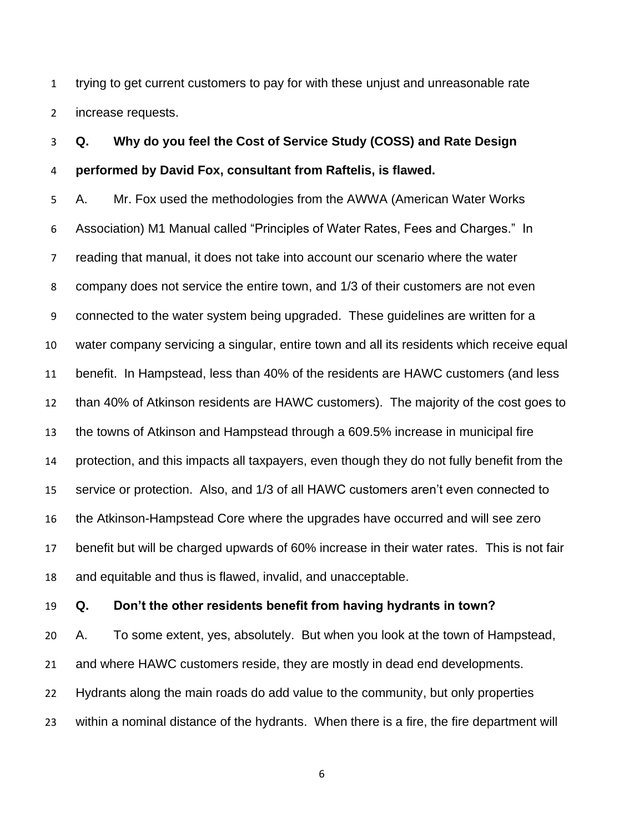trying to get current customers to pay for with these unjust and unreasonable rate increase requests.

# **Q. Why do you feel the Cost of Service Study (COSS) and Rate Design performed by David Fox, consultant from Raftelis, is flawed.**

 A. Mr. Fox used the methodologies from the AWWA (American Water Works Association) M1 Manual called "Principles of Water Rates, Fees and Charges." In reading that manual, it does not take into account our scenario where the water company does not service the entire town, and 1/3 of their customers are not even connected to the water system being upgraded. These guidelines are written for a water company servicing a singular, entire town and all its residents which receive equal benefit. In Hampstead, less than 40% of the residents are HAWC customers (and less than 40% of Atkinson residents are HAWC customers). The majority of the cost goes to the towns of Atkinson and Hampstead through a 609.5% increase in municipal fire protection, and this impacts all taxpayers, even though they do not fully benefit from the service or protection. Also, and 1/3 of all HAWC customers aren't even connected to the Atkinson-Hampstead Core where the upgrades have occurred and will see zero benefit but will be charged upwards of 60% increase in their water rates. This is not fair and equitable and thus is flawed, invalid, and unacceptable.

### **Q. Don't the other residents benefit from having hydrants in town?**

 A. To some extent, yes, absolutely. But when you look at the town of Hampstead, and where HAWC customers reside, they are mostly in dead end developments. Hydrants along the main roads do add value to the community, but only properties within a nominal distance of the hydrants. When there is a fire, the fire department will